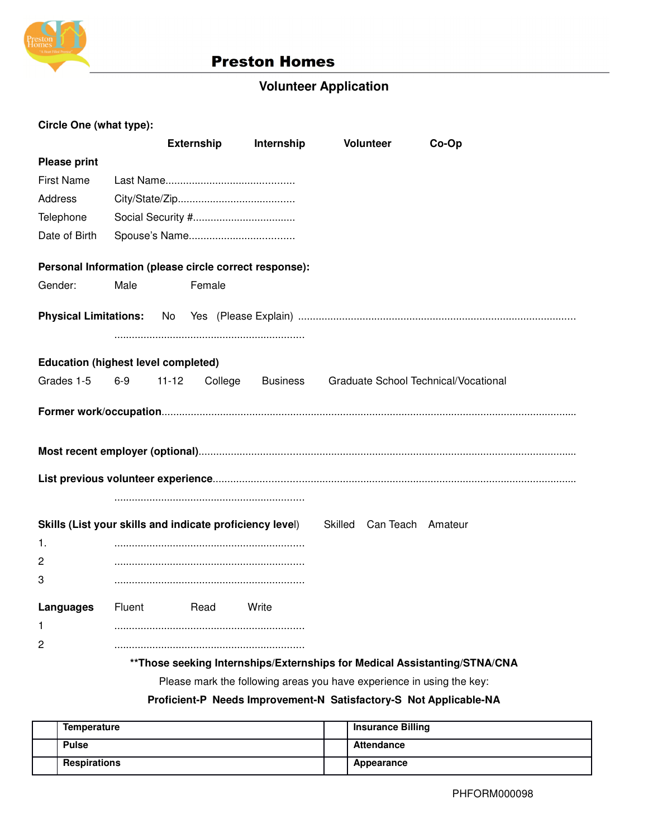

# **Preston Homes**

# **Volunteer Application**

| Circle One (what type):                    |        |                                                          |                 |                                                                            |       |
|--------------------------------------------|--------|----------------------------------------------------------|-----------------|----------------------------------------------------------------------------|-------|
|                                            |        | <b>Externship</b>                                        | Internship      | <b>Volunteer</b>                                                           | Co-Op |
| <b>Please print</b>                        |        |                                                          |                 |                                                                            |       |
| <b>First Name</b>                          |        |                                                          |                 |                                                                            |       |
| Address                                    |        |                                                          |                 |                                                                            |       |
| Telephone                                  |        |                                                          |                 |                                                                            |       |
| Date of Birth                              |        |                                                          |                 |                                                                            |       |
|                                            |        |                                                          |                 |                                                                            |       |
|                                            |        | Personal Information (please circle correct response):   |                 |                                                                            |       |
| Gender:                                    | Male   | Female                                                   |                 |                                                                            |       |
|                                            |        |                                                          |                 |                                                                            |       |
|                                            |        |                                                          |                 |                                                                            |       |
|                                            |        |                                                          |                 |                                                                            |       |
| <b>Education (highest level completed)</b> |        |                                                          |                 |                                                                            |       |
| Grades 1-5                                 | $6-9$  | $11 - 12$<br>College                                     | <b>Business</b> | Graduate School Technical/Vocational                                       |       |
|                                            |        |                                                          |                 |                                                                            |       |
|                                            |        |                                                          |                 |                                                                            |       |
|                                            |        |                                                          |                 |                                                                            |       |
|                                            |        |                                                          |                 |                                                                            |       |
|                                            |        |                                                          |                 |                                                                            |       |
|                                            |        |                                                          |                 |                                                                            |       |
|                                            |        | Skills (List your skills and indicate proficiency level) |                 | Skilled Can Teach Amateur                                                  |       |
| 1.                                         |        |                                                          |                 |                                                                            |       |
| 2                                          |        |                                                          |                 |                                                                            |       |
| 3                                          |        |                                                          |                 |                                                                            |       |
|                                            |        |                                                          |                 |                                                                            |       |
| Languages                                  | Fluent | Read                                                     | Write           |                                                                            |       |
| 1                                          |        |                                                          |                 |                                                                            |       |
| 2                                          |        |                                                          |                 |                                                                            |       |
|                                            |        |                                                          |                 | ** Those seeking Internships/Externships for Medical Assistanting/STNA/CNA |       |

Please mark the following areas you have experience in using the key:

## **Proficient-P Needs Improvement-N Satisfactory-S Not Applicable-NA**

| Temperature         | <b>Insurance Billing</b> |
|---------------------|--------------------------|
| <b>Pulse</b>        | Attendance               |
| <b>Respirations</b> | Appearance               |